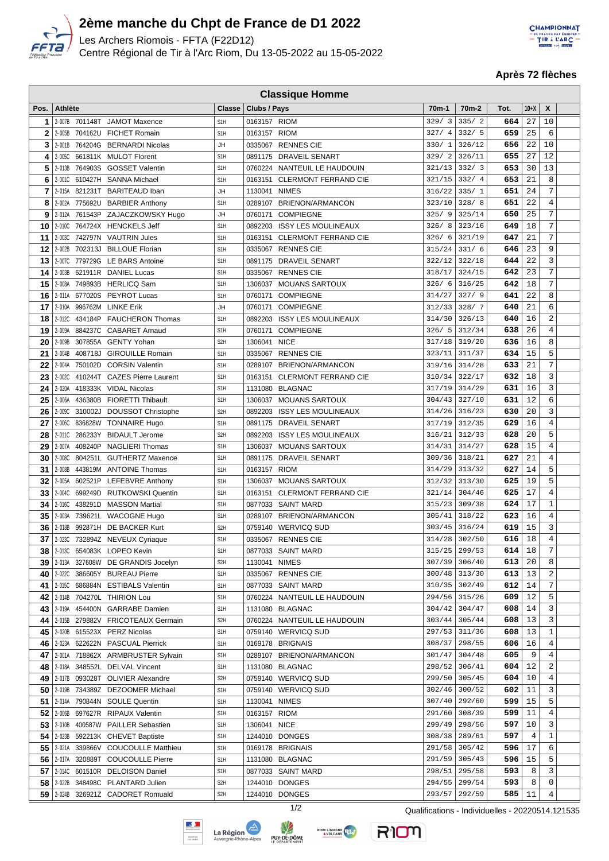

 $\Box$ 

## **2ème manche du Chpt de France de D1 2022**

Les Archers Riomois - FFTA (F22D12) Centre Régional de Tir à l'Arc Riom, Du 13-05-2022 au 15-05-2022



**Après 72 flèches**

|          | <b>Classique Homme</b> |                |                                                                           |                                      |              |                                     |                   |                    |            |                 |                     |  |
|----------|------------------------|----------------|---------------------------------------------------------------------------|--------------------------------------|--------------|-------------------------------------|-------------------|--------------------|------------|-----------------|---------------------|--|
| Pos.     | <b>Athlète</b>         |                |                                                                           | <b>Classe</b>                        | Clubs / Pays |                                     | 70 <sub>m-1</sub> | 70 <sub>m</sub> -2 | Tot.       | $10+X$          | X                   |  |
| 1        |                        |                | 2-007B 701148T JAMOT Maxence                                              | S <sub>1</sub> H                     | 0163157 RIOM |                                     | 329/3             | 335/2              | 664        | 27              | 10                  |  |
| 2        |                        |                | 2-005B 704162U FICHET Romain                                              | S <sub>1</sub> H                     | 0163157 RIOM |                                     | 327/4             | 332/5              | 659        | 25              | 6                   |  |
| 3        |                        |                | 2-001B 764204G BERNARDI Nicolas                                           | JH                                   |              | 0335067 RENNES CIE                  | 330/1             | 326/12             | 656        | 22              | 10                  |  |
| 4        |                        |                | 2-005C 661811K MULOT Florent                                              | S <sub>1</sub> H                     |              | 0891175 DRAVEIL SENART              | 329/2             | 326/11             | 655        | 27              | 12                  |  |
| 5        | 2-013B                 | 764903S        | <b>GOSSET Valentin</b>                                                    | S <sub>1</sub> H                     |              | 0760224 NANTEUIL LE HAUDOUIN        | 321/13            | 332/3              | 653        | 30              | 13                  |  |
| 6        |                        | 2-001C 610427H | <b>SANNA Michael</b>                                                      | S <sub>1</sub> H                     | 0163151      | <b>CLERMONT FERRAND CIE</b>         | 321/15            | 332/4              | 653        | 21              | 8                   |  |
| 7        |                        |                | 2-015A 821231T BARITEAUD Iban                                             | JH                                   |              | 1130041 NIMES                       | 316/22            | 335/1              | 651        | 24              | 7                   |  |
| 8        |                        |                | 2-002A 775692U BARBIER Anthony                                            | S <sub>1</sub> H                     |              | 0289107 BRIENON/ARMANCON            | 323/10            | 328/8              | 651        | 22              | 4                   |  |
| 9        |                        |                | 2-012A 761543P ZAJACZKOWSKY Hugo                                          | JH                                   | 0760171      | <b>COMPIEGNE</b>                    | 325/9             | 325/14             | 650        | 25              | 7                   |  |
| 10       |                        |                | 2-010C 764724X HENCKELS Jeff                                              | S <sub>1</sub> H                     | 0892203      | <b>ISSY LES MOULINEAUX</b>          | 326/8             | 323/16             | 649        | 18              | 7                   |  |
| 11       |                        |                | 2-003C 742797N VAUTRIN Jules                                              | S <sub>1</sub> H                     |              | 0163151 CLERMONT FERRAND CIE        | 326/6             | 321/19             | 647        | 21              | $\overline{7}$      |  |
| 12       |                        |                | 2-002B 702313J BILLOUE Florian                                            | S <sub>1</sub> H                     |              | 0335067 RENNES CIE                  | 315/24            | 331/6              | 646        | 23              | 9                   |  |
| 13       |                        |                | 2-007C 779729G LE BARS Antoine                                            | S <sub>1</sub> H                     |              | 0891175 DRAVEIL SENART              | 322/12            | 322/18             | 644        | 22              | 3                   |  |
| 14       | 2-003B                 |                | 621911R DANIEL Lucas                                                      | S <sub>1</sub> H                     |              | 0335067 RENNES CIE                  | 318/17            | 324/15             | 642        | 23              | 7                   |  |
| 15       |                        | 2-008A 749893B | <b>HERLICQ Sam</b>                                                        | S <sub>1</sub> H                     | 1306037      | <b>MOUANS SARTOUX</b>               | 326/6             | 316/25             | 642        | 18              | 7                   |  |
| 16       |                        |                | 2-011A 677020S PEYROT Lucas                                               | S <sub>1</sub> H                     | 0760171      | <b>COMPIEGNE</b>                    | 314/27            | 327/9              | 641        | 22              | 8                   |  |
| 17       |                        |                | 2-010A 996762M LINKE Erik                                                 | JH                                   | 0760171      | <b>COMPIEGNE</b>                    | 312/33            | 328/7              | 640        | 21              | 6                   |  |
| 18       |                        |                | 2-012C 434184P FAUCHERON Thomas                                           | S <sub>1</sub> H                     | 0892203      | <b>ISSY LES MOULINEAUX</b>          | 314/30            | 326/13             | 640        | 16              | 2                   |  |
| 19       |                        |                | 2-009A 884237C CABARET Arnaud                                             | S <sub>1</sub> H                     | 0760171      | <b>COMPIEGNE</b>                    | 326/5             | 312/34             | 638        | 26              | $\overline{4}$      |  |
| 20       |                        |                | 2-009B 307855A GENTY Yohan                                                | S <sub>2</sub> H                     | 1306041 NICE |                                     | 317/18            | 319/20             | 636        | 16              | 8                   |  |
| 21       |                        |                | 2-004B 408718J GIROUILLE Romain                                           | S <sub>1</sub> H                     |              | 0335067 RENNES CIE                  | 323/11            | 311/37             | 634        | 15              | 5                   |  |
| 22       |                        |                | 2-004A 750102D CORSIN Valentin                                            | S <sub>1</sub> H                     |              | 0289107 BRIENON/ARMANCON            | 319/16            | 314/28             | 633        | 21              | 7                   |  |
| 23       | 2-002C                 | 410244T        | <b>CAZES Pierre Laurent</b>                                               | S <sub>1</sub> H                     | 0163151      | <b>CLERMONT FERRAND CIE</b>         | 310/34            | 322/17             | 632        | 18              | 3                   |  |
| 24       | 2-020A                 |                | 418333K VIDAL Nicolas                                                     | S <sub>1</sub> H                     | 1131080      | <b>BLAGNAC</b>                      | 317/19            | 314/29             | 631        | 16              | 3                   |  |
| 25       |                        |                | 2-006A 436380B FIORETTI Thibault                                          | S <sub>1</sub> H                     |              | 1306037 MOUANS SARTOUX              | 304/43            | 327/10             | 631        | 12              | 6                   |  |
| 26       | 2-009C                 |                | 310002J DOUSSOT Christophe                                                | S <sub>2</sub> H                     | 0892203      | <b>ISSY LES MOULINEAUX</b>          | 314/26            | 316/23             | 630        | 20              | 3                   |  |
| 27       |                        |                | 2-006C 836828W TONNAIRE Hugo                                              | S <sub>1</sub> H                     |              | 0891175 DRAVEIL SENART              | 317/19            | 312/35             | 629        | 16              | 4                   |  |
| 28       |                        |                | 2-011C 286233Y BIDAULT Jerome                                             | S <sub>2</sub> H                     |              | 0892203 ISSY LES MOULINEAUX         | 316/21            | 312/33             | 628        | 20              | 5                   |  |
| 29       |                        |                | 2-007A 408240P NAGLIERI Thomas                                            | S <sub>1</sub> H                     |              | 1306037 MOUANS SARTOUX              | 314/31            | 314/27             | 628<br>627 | 15<br>21        | $\overline{4}$<br>4 |  |
| 30       |                        |                | 2-008C 804251L GUTHERTZ Maxence                                           | S <sub>1</sub> H<br>S <sub>1</sub> H | 0163157 RIOM | 0891175 DRAVEIL SENART              | 309/36            | 318/21<br>313/32   | 627        | 14              | 5                   |  |
| 31<br>32 | 2-008B                 |                | 443819M ANTOINE Thomas<br>2-005A 602521P LEFEBVRE Anthony                 | S <sub>1</sub> H                     |              | 1306037 MOUANS SARTOUX              | 314/29<br>312/32  | 313/30             | 625        | 19              | 5                   |  |
| 33       | 2-004C                 | 699249D        | <b>RUTKOWSKI Quentin</b>                                                  | S <sub>1</sub> H                     | 0163151      | <b>CLERMONT FERRAND CIE</b>         | 321/14            | 304/46             | 625        | 17              | $\overline{4}$      |  |
| 34       | 2-016C                 | 438291D        | <b>MASSON Martial</b>                                                     | S <sub>1</sub> H                     |              | 0877033 SAINT MARD                  | 315/23            | 309/38             | 624        | 17              | $\mathbf{1}$        |  |
| 35       | 2-003A                 |                | 739621L WACOGNE Hugo                                                      | S <sub>1</sub> H                     |              | 0289107 BRIENON/ARMANCON            | 305/41            | 318/22             | 623        | 16              | 4                   |  |
| 36       | 2-018B                 |                | 992871H DE BACKER Kurt                                                    | S <sub>2</sub> H                     |              | 0759140 WERVICQ SUD                 | 303/45            | 316/24             | 619        | 15              | 3                   |  |
| 37       |                        |                | 2-023C 732894Z NEVEUX Cyriaque                                            | S <sub>1</sub> H                     |              | 0335067 RENNES CIE                  |                   | 314/28 302/50      | 616        | 18              | 4                   |  |
|          |                        |                | 38 2-013C 654083K LOPEO Kevin                                             | S <sub>1</sub> H                     |              | 0877033 SAINT MARD                  |                   | 315/25 299/53      | 614        | $\overline{18}$ | $\overline{7}$      |  |
|          |                        |                | 39 2013A 327608W DE GRANDIS Jocelyn                                       | S <sub>2</sub> H                     |              | 1130041 NIMES                       | 307/39            | 306/40             | 613        | 20              | 8                   |  |
| 40       | 2-022C                 |                | 386605Y BUREAU Pierre                                                     | S <sub>1</sub> H                     |              | 0335067 RENNES CIE                  | 300/48            | 313/30             | 613        | 13              | 2                   |  |
| 41       |                        |                | 2-015C 686884N ESTIBALS Valentin                                          | S <sub>1</sub> H                     |              | 0877033 SAINT MARD                  |                   | 310/35 302/49      | 612        | 14              | 7                   |  |
| 42       |                        |                | 2-014B 704270L THIRION Lou                                                | S <sub>1</sub> H                     |              | 0760224 NANTEUIL LE HAUDOUIN        |                   | 294/56 315/26      | 609        | 12              | 5                   |  |
| 43       |                        |                | 2-019A 454400N GARRABE Damien                                             | S <sub>1</sub> H                     |              | 1131080 BLAGNAC                     | 304/42            | 304/47             | 608        | 14              | 3                   |  |
| 44       |                        |                | 2-015B 279882V FRICOTEAUX Germain                                         | S <sub>2</sub> H                     |              | 0760224 NANTEUIL LE HAUDOUIN        |                   | $303/44$ 305/44    | 608        | 13              | 3                   |  |
| 45       |                        |                | 2-020B 615523X PERZ Nicolas                                               | S <sub>1</sub> H                     |              | 0759140 WERVICQ SUD                 | 297/53            | 311/36             | 608        | 13              | 1                   |  |
| 46       |                        |                | 2-023A 622622N PASCUAL Pierrick                                           | S <sub>1</sub> H                     |              | 0169178 BRIGNAIS                    | 308/37            | 298/55             | 606        | 16              | 4                   |  |
| 47       |                        |                | 2-001A 718862X ARMBRUSTER Sylvain                                         | S <sub>1</sub> H                     |              | 0289107 BRIENON/ARMANCON            | 301/47            | 304/48             | 605        | 9               | 4                   |  |
| 48       |                        |                | 2-018A 348552L DELVAL Vincent                                             | S <sub>1</sub> H                     |              | 1131080 BLAGNAC                     | 298/52            | 306/41             | 604        | 12              | 2                   |  |
|          |                        |                | 49   2-017B 093028T OLIVIER Alexandre                                     | S <sub>2</sub> H                     |              | 0759140 WERVICQ SUD                 |                   | 299/50 305/45      | 604        | 10              | 4                   |  |
|          |                        |                | 50 2019 734389Z DEZOOMER Michael                                          | S <sub>1</sub> H                     |              | 0759140 WERVICQ SUD                 |                   | 302/46 300/52      | 602        | 11              | 3                   |  |
| 51 I     |                        |                | 2-014A 790844N SOULE Quentin                                              | S <sub>1</sub> H                     |              | 1130041 NIMES                       | 307/40            | 292/60             | 599        | 15              | 5                   |  |
| 52       |                        |                | 2-006B 697627R RIPAUX Valentin                                            | S <sub>1</sub> H                     | 0163157 RIOM |                                     | 291/60            | 308/39             | 599        | 11              | 4                   |  |
| 53       |                        |                | 2-010B 400587W PAILLER Sebastien                                          | S <sub>1</sub> H                     | 1306041 NICE |                                     | 299/49            | 298/56             | 597        | 10              | 3                   |  |
| 54       |                        |                | 2-023B 592213K CHEVET Baptiste                                            | S <sub>1</sub> H<br>S <sub>1</sub> H |              | 1244010 DONGES                      | 308/38            | 289/61             | 597<br>596 | 4<br>17         | 1<br>6              |  |
| 55       |                        |                | 2-021A 339866V COUCOULLE Matthieu<br>56   2-017A 320889T COUCOULLE Pierre | S <sub>1</sub> H                     |              | 0169178 BRIGNAIS<br>1131080 BLAGNAC | 291/58<br>291/59  | 305/42<br>305/43   | 596        | 15              | 5                   |  |
|          |                        |                | 57 20140 601510R DELOISON Daniel                                          | S <sub>1</sub> H                     |              | 0877033 SAINT MARD                  | 298/51            | 295/58             | 593        | 8               | 3                   |  |
|          |                        |                | 58 2-022B 348498C PLANTARD Julien                                         | S <sub>2</sub> H                     |              | 1244010 DONGES                      | 294/55            | 299/54             | 593        | 8               | 0                   |  |
|          |                        |                | 59 2 024B 326921Z CADORET Romuald                                         | S <sub>2</sub> H                     |              | 1244010 DONGES                      | 293/57            | 292/59             | 585        | 11              | 4                   |  |
|          |                        |                |                                                                           |                                      |              |                                     |                   |                    |            |                 |                     |  |







RION

1/2 Qualifications - Individuelles - 20220514.121535